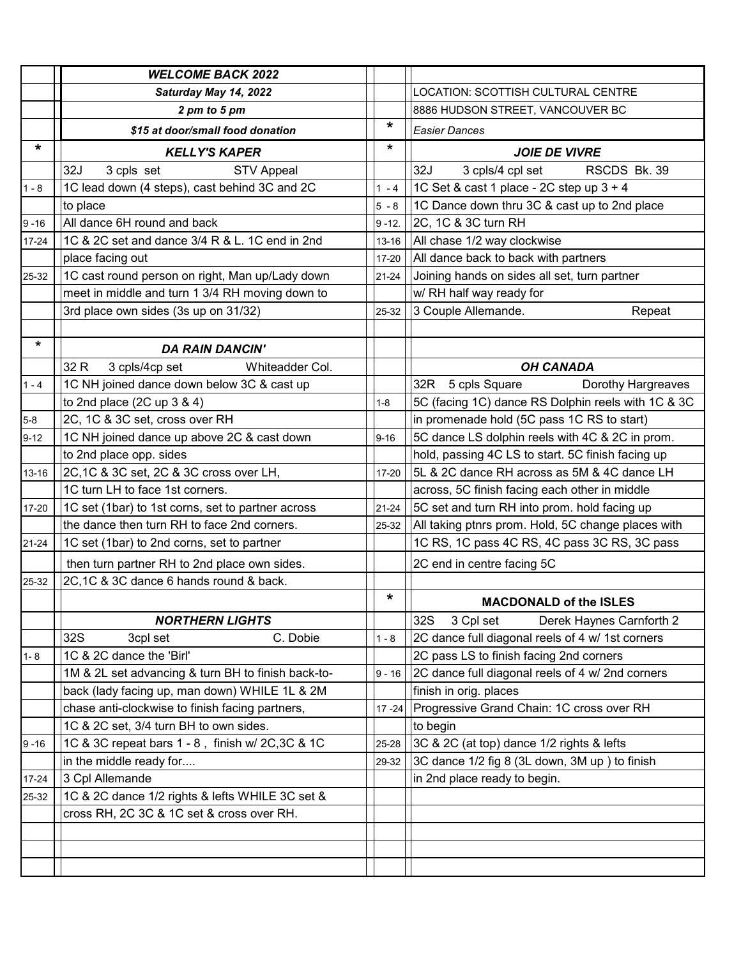|           | <b>WELCOME BACK 2022</b>                           |           |                                                    |
|-----------|----------------------------------------------------|-----------|----------------------------------------------------|
|           | Saturday May 14, 2022                              |           | LOCATION: SCOTTISH CULTURAL CENTRE                 |
|           | 2 pm to 5 pm                                       |           | 8886 HUDSON STREET, VANCOUVER BC                   |
|           | \$15 at door/small food donation                   | *         | <b>Easier Dances</b>                               |
| $\star$   | <b>KELLY'S KAPER</b>                               | $\star$   | <b>JOIE DE VIVRE</b>                               |
|           | 32J<br>3 cpls set<br><b>STV Appeal</b>             |           | 32J<br>3 cpls/4 cpl set<br>RSCDS Bk. 39            |
| $1 - 8$   | 1C lead down (4 steps), cast behind 3C and 2C      | $1 - 4$   | 1C Set & cast 1 place - 2C step up 3 + 4           |
|           | to place                                           | $5 - 8$   | 1C Dance down thru 3C & cast up to 2nd place       |
| $9 - 16$  | All dance 6H round and back                        | $9 - 12.$ | 2C, 1C & 3C turn RH                                |
| 17-24     | 1C & 2C set and dance 3/4 R & L. 1C end in 2nd     | $13 - 16$ | All chase 1/2 way clockwise                        |
|           | place facing out                                   | $17 - 20$ | All dance back to back with partners               |
| 25-32     | 1C cast round person on right, Man up/Lady down    | $21 - 24$ | Joining hands on sides all set, turn partner       |
|           | meet in middle and turn 1 3/4 RH moving down to    |           | w/ RH half way ready for                           |
|           | 3rd place own sides (3s up on 31/32)               | 25-32     | 3 Couple Allemande.<br>Repeat                      |
|           |                                                    |           |                                                    |
| $\star$   | <b>DA RAIN DANCIN'</b>                             |           |                                                    |
|           | 32 R<br>3 cpls/4cp set<br>Whiteadder Col.          |           | <b>OH CANADA</b>                                   |
| $1 - 4$   | 1C NH joined dance down below 3C & cast up         |           | 5 cpls Square<br>Dorothy Hargreaves<br>32R         |
|           | to 2nd place $(2C \text{ up } 3 \& 4)$             | $1 - 8$   | 5C (facing 1C) dance RS Dolphin reels with 1C & 3C |
| $5-8$     | 2C, 1C & 3C set, cross over RH                     |           | in promenade hold (5C pass 1C RS to start)         |
| $9 - 12$  | 1C NH joined dance up above 2C & cast down         | $9 - 16$  | 5C dance LS dolphin reels with 4C & 2C in prom.    |
|           | to 2nd place opp. sides                            |           | hold, passing 4C LS to start. 5C finish facing up  |
| 13-16     | 2C, 1C & 3C set, 2C & 3C cross over LH,            | $17 - 20$ | 5L & 2C dance RH across as 5M & 4C dance LH        |
|           | 1C turn LH to face 1st corners.                    |           | across, 5C finish facing each other in middle      |
| 17-20     | 1C set (1bar) to 1st corns, set to partner across  | $21 - 24$ | 5C set and turn RH into prom. hold facing up       |
|           | the dance then turn RH to face 2nd corners.        | 25-32     | All taking ptnrs prom. Hold, 5C change places with |
| $21 - 24$ | 1C set (1bar) to 2nd corns, set to partner         |           | 1C RS, 1C pass 4C RS, 4C pass 3C RS, 3C pass       |
|           | then turn partner RH to 2nd place own sides.       |           | 2C end in centre facing 5C                         |
| 25-32     | 2C, 1C & 3C dance 6 hands round & back.            |           |                                                    |
|           |                                                    | *         | <b>MACDONALD of the ISLES</b>                      |
|           | <b>NORTHERN LIGHTS</b>                             |           | 32S<br>3 Cpl set<br>Derek Haynes Carnforth 2       |
|           | C. Dobie<br>32S<br>3cpl set                        | $1 - 8$   | 2C dance full diagonal reels of 4 w/ 1st corners   |
| $1 - 8$   | 1C & 2C dance the 'Birl'                           |           | 2C pass LS to finish facing 2nd corners            |
|           | 1M & 2L set advancing & turn BH to finish back-to- | $9 - 16$  | 2C dance full diagonal reels of 4 w/ 2nd corners   |
|           | back (lady facing up, man down) WHILE 1L & 2M      |           | finish in orig. places                             |
|           | chase anti-clockwise to finish facing partners,    | $17 - 24$ | Progressive Grand Chain: 1C cross over RH          |
|           | 1C & 2C set, 3/4 turn BH to own sides.             |           | to begin                                           |
| $9 - 16$  | 1C & 3C repeat bars 1 - 8, finish w/ 2C, 3C & 1C   | 25-28     | 3C & 2C (at top) dance 1/2 rights & lefts          |
|           | in the middle ready for                            | 29-32     | 3C dance 1/2 fig 8 (3L down, 3M up) to finish      |
| 17-24     | 3 Cpl Allemande                                    |           | in 2nd place ready to begin.                       |
| 25-32     | 1C & 2C dance 1/2 rights & lefts WHILE 3C set &    |           |                                                    |
|           | cross RH, 2C 3C & 1C set & cross over RH.          |           |                                                    |
|           |                                                    |           |                                                    |
|           |                                                    |           |                                                    |
|           |                                                    |           |                                                    |